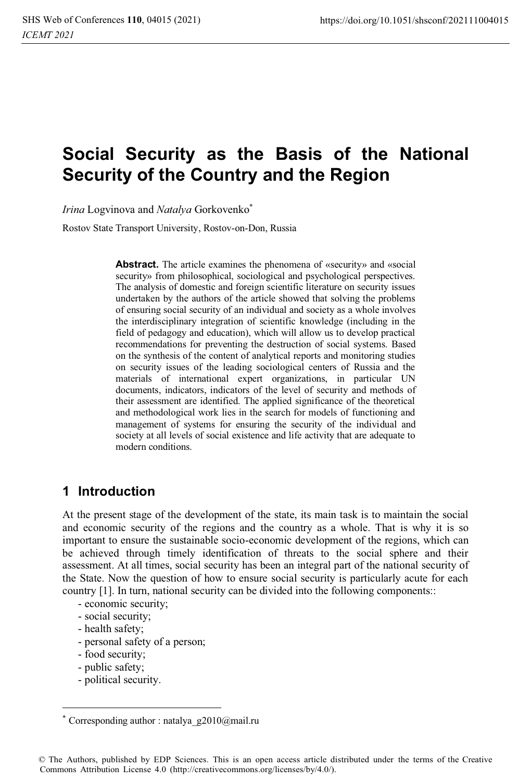# **Social Security as the Basis of the National Security of the Country and the Region**

*Irina* Logvinova and *Natalya* Gorkovenko\*

Rostov State Transport University, Rostov-on-Don, Russia

**Abstract.** The article examines the phenomena of «security» and «social security» from philosophical, sociological and psychological perspectives. The analysis of domestic and foreign scientific literature on security issues undertaken by the authors of the article showed that solving the problems of ensuring social security of an individual and society as a whole involves the interdisciplinary integration of scientific knowledge (including in the field of pedagogy and education), which will allow us to develop practical recommendations for preventing the destruction of social systems. Based on the synthesis of the content of analytical reports and monitoring studies on security issues of the leading sociological centers of Russia and the materials of international expert organizations, in particular UN documents, indicators, indicators of the level of security and methods of their assessment are identified. The applied significance of the theoretical and methodological work lies in the search for models of functioning and management of systems for ensuring the security of the individual and society at all levels of social existence and life activity that are adequate to modern conditions.

## **1 Introduction**

At the present stage of the development of the state, its main task is to maintain the social and economic security of the regions and the country as a whole. That is why it is so important to ensure the sustainable socio-economic development of the regions, which can be achieved through timely identification of threats to the social sphere and their assessment. At all times, social security has been an integral part of the national security of the State. Now the question of how to ensure social security is particularly acute for each country [1]. In turn, national security can be divided into the following components::

- economic security;
- social security;
- health safety;
- personal safety of a person;
- food security;
- public safety;
- political security.

Corresponding author : natalya\_g2010@mail.ru

<sup>©</sup> The Authors, published by EDP Sciences. This is an open access article distributed under the terms of the Creative Commons Attribution License 4.0 (http://creativecommons.org/licenses/by/4.0/).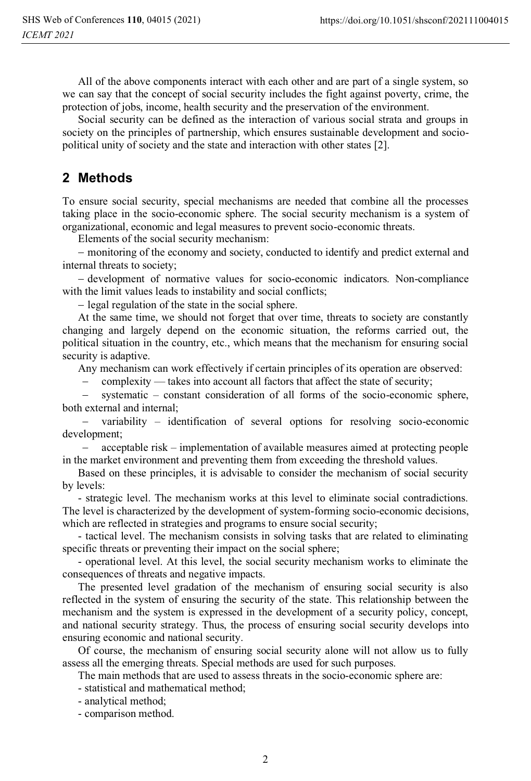All of the above components interact with each other and are part of a single system, so we can say that the concept of social security includes the fight against poverty, crime, the protection of jobs, income, health security and the preservation of the environment.

Social security can be defined as the interaction of various social strata and groups in society on the principles of partnership, which ensures sustainable development and sociopolitical unity of society and the state and interaction with other states [2].

### **2 Methods**

To ensure social security, special mechanisms are needed that combine all the processes taking place in the socio-economic sphere. The social security mechanism is a system of organizational, economic and legal measures to prevent socio-economic threats.

Elements of the social security mechanism:

- monitoring of the economy and society, conducted to identify and predict external and internal threats to society;

- development of normative values for socio-economic indicators. Non-compliance with the limit values leads to instability and social conflicts;

- legal regulation of the state in the social sphere.

At the same time, we should not forget that over time, threats to society are constantly changing and largely depend on the economic situation, the reforms carried out, the political situation in the country, etc., which means that the mechanism for ensuring social security is adaptive.

Any mechanism can work effectively if certain principles of its operation are observed:

сomplexity — takes into account all factors that affect the state of security;

 systematic – constant consideration of all forms of the socio-economic sphere, both external and internal;

 variability – identification of several options for resolving socio-economic development;

 acceptable risk – implementation of available measures aimed at protecting people in the market environment and preventing them from exceeding the threshold values.

Based on these principles, it is advisable to consider the mechanism of social security by levels:

- strategic level. The mechanism works at this level to eliminate social contradictions. The level is characterized by the development of system-forming socio-economic decisions, which are reflected in strategies and programs to ensure social security;

- tactical level. The mechanism consists in solving tasks that are related to eliminating specific threats or preventing their impact on the social sphere;

- operational level. At this level, the social security mechanism works to eliminate the consequences of threats and negative impacts.

The presented level gradation of the mechanism of ensuring social security is also reflected in the system of ensuring the security of the state. This relationship between the mechanism and the system is expressed in the development of a security policy, concept, and national security strategy. Thus, the process of ensuring social security develops into ensuring economic and national security.

Of course, the mechanism of ensuring social security alone will not allow us to fully assess all the emerging threats. Special methods are used for such purposes.

The main methods that are used to assess threats in the socio-economic sphere are:

- statistical and mathematical method;

- analytical method;
- comparison method.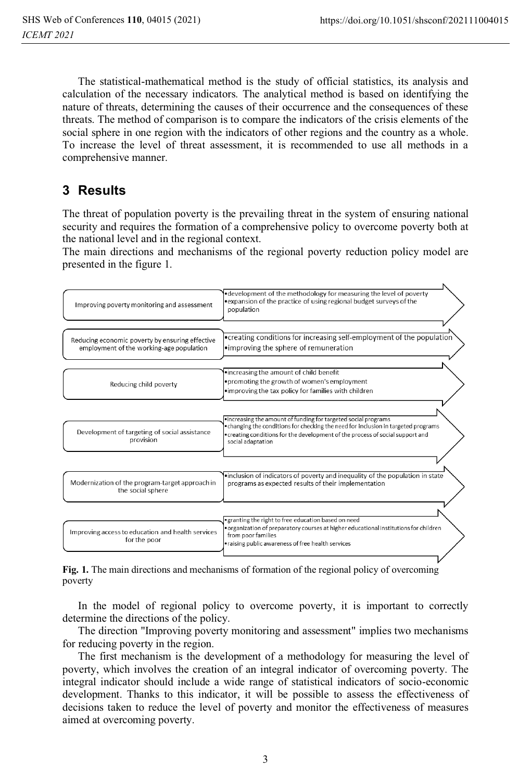$\lambda$ 

The statistical-mathematical method is the study of official statistics, its analysis and calculation of the necessary indicators. The analytical method is based on identifying the nature of threats, determining the causes of their occurrence and the consequences of these threats. The method of comparison is to compare the indicators of the crisis elements of the social sphere in one region with the indicators of other regions and the country as a whole. To increase the level of threat assessment, it is recommended to use all methods in a comprehensive manner.

# **3 Results**

The threat of population poverty is the prevailing threat in the system of ensuring national security and requires the formation of a comprehensive policy to overcome poverty both at the national level and in the regional context.

The main directions and mechanisms of the regional poverty reduction policy model are presented in the figure 1.

| Improving poverty monitoring and assessment                                                 | •development of the methodology for measuring the level of poverty<br>•expansion of the practice of using regional budget surveys of the<br>population                                                                                                      |
|---------------------------------------------------------------------------------------------|-------------------------------------------------------------------------------------------------------------------------------------------------------------------------------------------------------------------------------------------------------------|
| Reducing economic poverty by ensuring effective<br>employment of the working-age population | •creating conditions for increasing self-employment of the population<br>•improving the sphere of remuneration                                                                                                                                              |
| Reducing child poverty                                                                      | .increasing the amount of child benefit<br>. promoting the growth of women's employment<br>.improving the tax policy for families with children                                                                                                             |
| Development of targeting of social assistance<br>provision                                  | .increasing the amount of funding for targeted social programs<br>• changing the conditions for checking the need for inclusion in targeted programs<br>• creating conditions for the development of the process of social support and<br>social adaptation |
| Modernization of the program-target approach in<br>the social sphere                        | .inclusion of indicators of poverty and inequality of the population in state<br>programs as expected results of their implementation                                                                                                                       |
| Improving access to education and health services<br>for the poor                           | • granting the right to free education based on need<br>. organization of preparatory courses at higher educational institutions for children<br>from poor families<br>• raising public awareness of free health services                                   |

**Fig. 1.** The main directions and mechanisms of formation of the regional policy of overcoming poverty

In the model of regional policy to overcome poverty, it is important to correctly determine the directions of the policy.

The direction "Improving poverty monitoring and assessment" implies two mechanisms for reducing poverty in the region.

The first mechanism is the development of a methodology for measuring the level of poverty, which involves the creation of an integral indicator of overcoming poverty. The integral indicator should include a wide range of statistical indicators of socio-economic development. Thanks to this indicator, it will be possible to assess the effectiveness of decisions taken to reduce the level of poverty and monitor the effectiveness of measures aimed at overcoming poverty.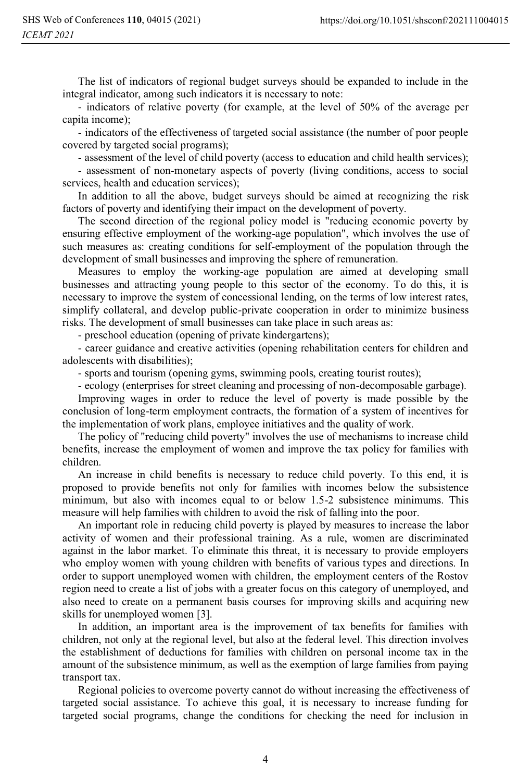The list of indicators of regional budget surveys should be expanded to include in the integral indicator, among such indicators it is necessary to note:

- indicators of relative poverty (for example, at the level of 50% of the average per capita income);

- indicators of the effectiveness of targeted social assistance (the number of poor people covered by targeted social programs);

- assessment of the level of child poverty (access to education and child health services);

- assessment of non-monetary aspects of poverty (living conditions, access to social services, health and education services);

In addition to all the above, budget surveys should be aimed at recognizing the risk factors of poverty and identifying their impact on the development of poverty.

The second direction of the regional policy model is "reducing economic poverty by ensuring effective employment of the working-age population", which involves the use of such measures as: creating conditions for self-employment of the population through the development of small businesses and improving the sphere of remuneration.

Measures to employ the working-age population are aimed at developing small businesses and attracting young people to this sector of the economy. To do this, it is necessary to improve the system of concessional lending, on the terms of low interest rates, simplify collateral, and develop public-private cooperation in order to minimize business risks. The development of small businesses can take place in such areas as:

- preschool education (opening of private kindergartens);

- career guidance and creative activities (opening rehabilitation centers for children and adolescents with disabilities);

- sports and tourism (opening gyms, swimming pools, creating tourist routes);

- ecology (enterprises for street cleaning and processing of non-decomposable garbage).

Improving wages in order to reduce the level of poverty is made possible by the conclusion of long-term employment contracts, the formation of a system of incentives for the implementation of work plans, employee initiatives and the quality of work.

The policy of "reducing child poverty" involves the use of mechanisms to increase child benefits, increase the employment of women and improve the tax policy for families with children.

An increase in child benefits is necessary to reduce child poverty. To this end, it is proposed to provide benefits not only for families with incomes below the subsistence minimum, but also with incomes equal to or below 1.5-2 subsistence minimums. This measure will help families with children to avoid the risk of falling into the poor.

An important role in reducing child poverty is played by measures to increase the labor activity of women and their professional training. As a rule, women are discriminated against in the labor market. To eliminate this threat, it is necessary to provide employers who employ women with young children with benefits of various types and directions. In order to support unemployed women with children, the employment centers of the Rostov region need to create a list of jobs with a greater focus on this category of unemployed, and also need to create on a permanent basis courses for improving skills and acquiring new skills for unemployed women [3].

In addition, an important area is the improvement of tax benefits for families with children, not only at the regional level, but also at the federal level. This direction involves the establishment of deductions for families with children on personal income tax in the amount of the subsistence minimum, as well as the exemption of large families from paying transport tax.

Regional policies to overcome poverty cannot do without increasing the effectiveness of targeted social assistance. To achieve this goal, it is necessary to increase funding for targeted social programs, change the conditions for checking the need for inclusion in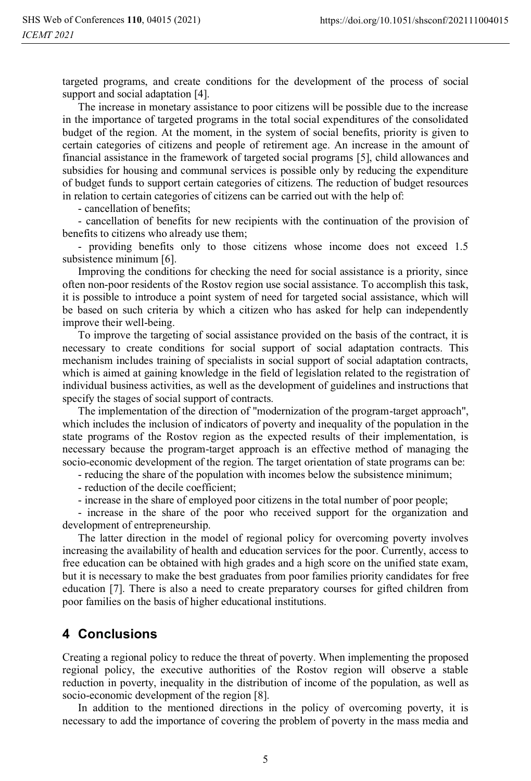targeted programs, and create conditions for the development of the process of social support and social adaptation [4].

The increase in monetary assistance to poor citizens will be possible due to the increase in the importance of targeted programs in the total social expenditures of the consolidated budget of the region. At the moment, in the system of social benefits, priority is given to certain categories of citizens and people of retirement age. An increase in the amount of financial assistance in the framework of targeted social programs [5], child allowances and subsidies for housing and communal services is possible only by reducing the expenditure of budget funds to support certain categories of citizens. The reduction of budget resources in relation to certain categories of citizens can be carried out with the help of:

- cancellation of benefits;

- cancellation of benefits for new recipients with the continuation of the provision of benefits to citizens who already use them;

- providing benefits only to those citizens whose income does not exceed 1.5 subsistence minimum [6].

Improving the conditions for checking the need for social assistance is a priority, since often non-poor residents of the Rostov region use social assistance. To accomplish this task, it is possible to introduce a point system of need for targeted social assistance, which will be based on such criteria by which a citizen who has asked for help can independently improve their well-being.

To improve the targeting of social assistance provided on the basis of the contract, it is necessary to create conditions for social support of social adaptation contracts. This mechanism includes training of specialists in social support of social adaptation contracts, which is aimed at gaining knowledge in the field of legislation related to the registration of individual business activities, as well as the development of guidelines and instructions that specify the stages of social support of contracts.

The implementation of the direction of "modernization of the program-target approach", which includes the inclusion of indicators of poverty and inequality of the population in the state programs of the Rostov region as the expected results of their implementation, is necessary because the program-target approach is an effective method of managing the socio-economic development of the region. The target orientation of state programs can be:

- reducing the share of the population with incomes below the subsistence minimum;

- reduction of the decile coefficient;

- increase in the share of employed poor citizens in the total number of poor people;

- increase in the share of the poor who received support for the organization and development of entrepreneurship.

The latter direction in the model of regional policy for overcoming poverty involves increasing the availability of health and education services for the poor. Currently, access to free education can be obtained with high grades and a high score on the unified state exam, but it is necessary to make the best graduates from poor families priority candidates for free education [7]. There is also a need to create preparatory courses for gifted children from poor families on the basis of higher educational institutions.

### **4 Сonclusions**

Creating a regional policy to reduce the threat of poverty. When implementing the proposed regional policy, the executive authorities of the Rostov region will observe a stable reduction in poverty, inequality in the distribution of income of the population, as well as socio-economic development of the region [8].

In addition to the mentioned directions in the policy of overcoming poverty, it is necessary to add the importance of covering the problem of poverty in the mass media and